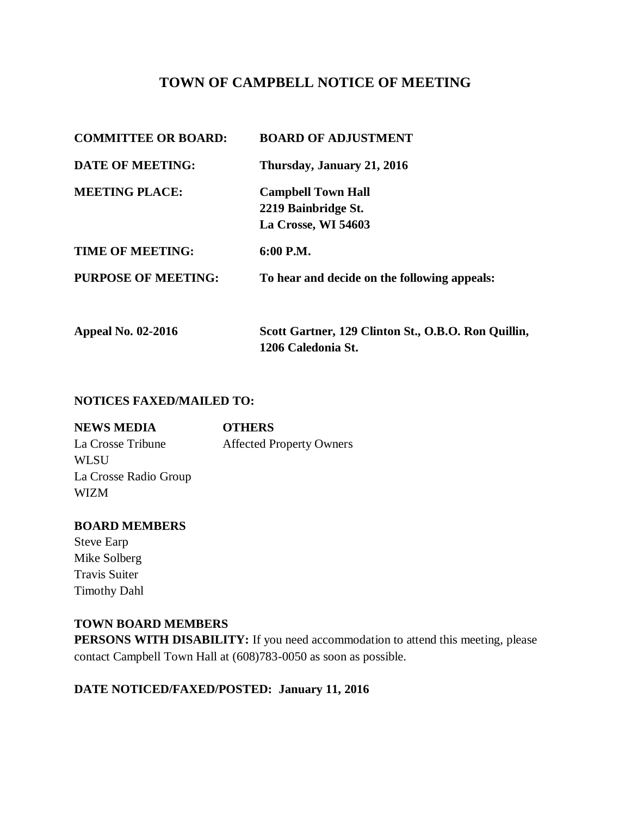# **TOWN OF CAMPBELL NOTICE OF MEETING**

| <b>COMMITTEE OR BOARD:</b> | <b>BOARD OF ADJUSTMENT</b>                                                |
|----------------------------|---------------------------------------------------------------------------|
| <b>DATE OF MEETING:</b>    | Thursday, January 21, 2016                                                |
| <b>MEETING PLACE:</b>      | <b>Campbell Town Hall</b><br>2219 Bainbridge St.<br>La Crosse, WI 54603   |
| <b>TIME OF MEETING:</b>    | $6:00$ P.M.                                                               |
| <b>PURPOSE OF MEETING:</b> | To hear and decide on the following appeals:                              |
| <b>Appeal No. 02-2016</b>  | Scott Gartner, 129 Clinton St., O.B.O. Ron Quillin,<br>1206 Caledonia St. |

#### **NOTICES FAXED/MAILED TO:**

| <b>NEWS MEDIA</b>     | <b>OTHERS</b>                   |
|-----------------------|---------------------------------|
| La Crosse Tribune     | <b>Affected Property Owners</b> |
| <b>WLSU</b>           |                                 |
| La Crosse Radio Group |                                 |
| <b>WIZM</b>           |                                 |

### **BOARD MEMBERS**

Steve Earp Mike Solberg Travis Suiter Timothy Dahl

### **TOWN BOARD MEMBERS**

**PERSONS WITH DISABILITY:** If you need accommodation to attend this meeting, please contact Campbell Town Hall at (608)783-0050 as soon as possible.

# **DATE NOTICED/FAXED/POSTED: January 11, 2016**